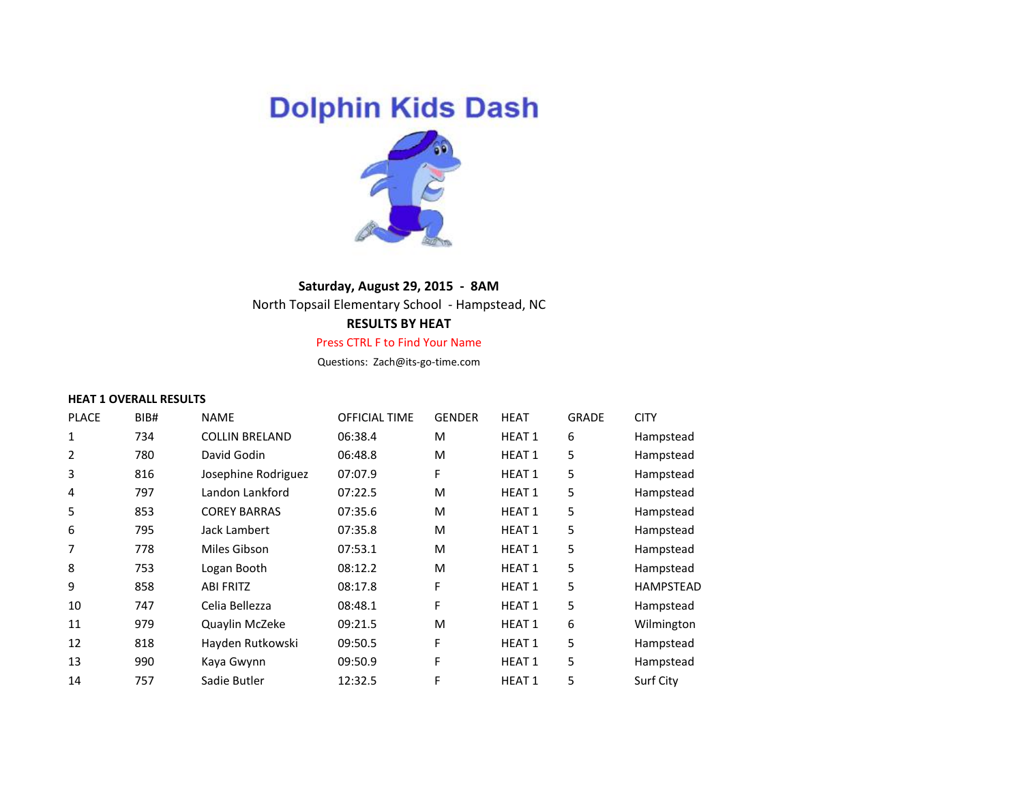# **Dolphin Kids Dash**



# **Saturday, August 29, 2015 - 8AM**

North Topsail Elementary School - Hampstead, NC

# **RESULTS BY HEAT**

#### Press CTRL F to Find Your Name

Questions: Zach@its-go-time.com

#### **HEAT 1 OVERALL RESULTS**

| <b>PLACE</b> | BIB# | <b>NAME</b>           | OFFICIAL TIME | <b>GENDER</b> | <b>HEAT</b>   | <b>GRADE</b> | <b>CITY</b>      |
|--------------|------|-----------------------|---------------|---------------|---------------|--------------|------------------|
|              | 734  | <b>COLLIN BRELAND</b> | 06:38.4       | M             | <b>HEAT 1</b> | 6            | Hampstead        |
| 2            | 780  | David Godin           | 06:48.8       | M             | <b>HEAT 1</b> | 5            | Hampstead        |
| 3            | 816  | Josephine Rodriguez   | 07:07.9       | F             | <b>HEAT 1</b> | 5            | Hampstead        |
| 4            | 797  | Landon Lankford       | 07:22.5       | M             | <b>HEAT 1</b> | 5            | Hampstead        |
| 5            | 853  | <b>COREY BARRAS</b>   | 07:35.6       | M             | <b>HEAT1</b>  | 5            | Hampstead        |
| 6            | 795  | Jack Lambert          | 07:35.8       | M             | <b>HEAT 1</b> | 5            | Hampstead        |
|              | 778  | Miles Gibson          | 07:53.1       | M             | <b>HEAT1</b>  | 5            | Hampstead        |
| 8            | 753  | Logan Booth           | 08:12.2       | M             | <b>HEAT1</b>  | 5            | Hampstead        |
| 9            | 858  | <b>ABI FRITZ</b>      | 08:17.8       | F             | <b>HEAT 1</b> | 5            | <b>HAMPSTEAD</b> |
| 10           | 747  | Celia Bellezza        | 08:48.1       | F             | <b>HEAT 1</b> | 5            | Hampstead        |
| 11           | 979  | Quaylin McZeke        | 09:21.5       | M             | <b>HEAT 1</b> | 6            | Wilmington       |
| 12           | 818  | Hayden Rutkowski      | 09:50.5       | F             | <b>HEAT1</b>  | 5            | Hampstead        |
| 13           | 990  | Kaya Gwynn            | 09:50.9       | F             | <b>HEAT1</b>  | 5            | Hampstead        |
| 14           | 757  | Sadie Butler          | 12:32.5       | F             | <b>HEAT1</b>  | 5            | Surf City        |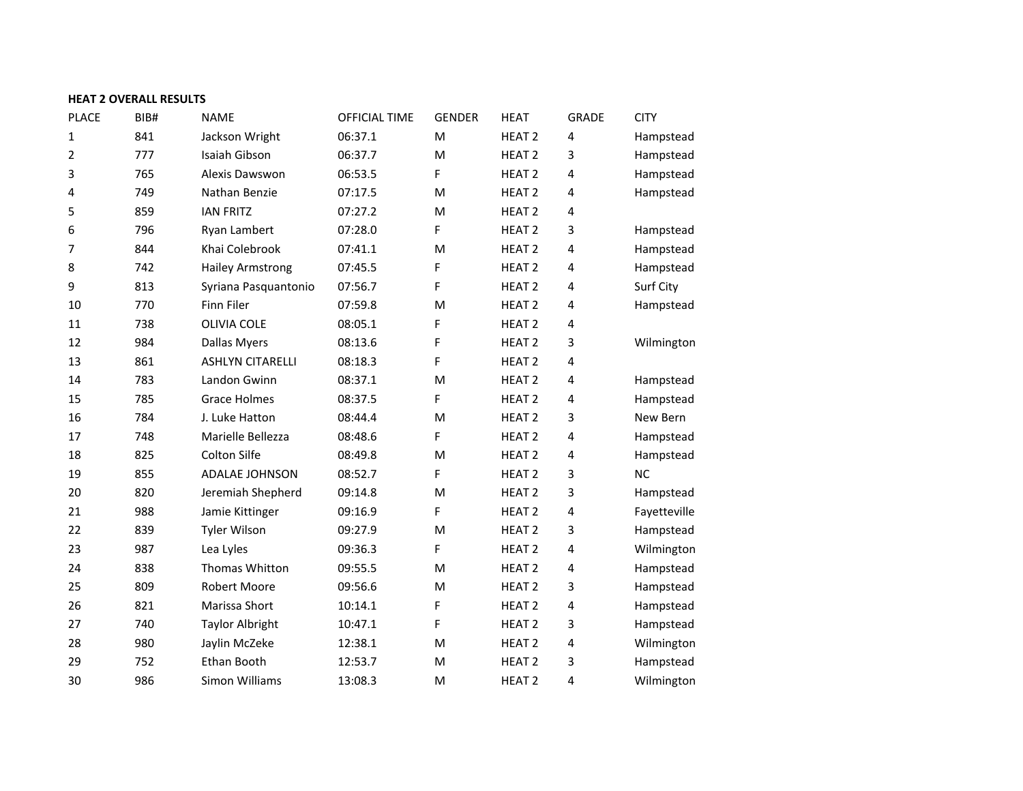# **HEAT 2 OVERALL RESULTS**

| <b>PLACE</b>   | BIB# | <b>NAME</b>             | OFFICIAL TIME | <b>GENDER</b> | <b>HEAT</b>       | <b>GRADE</b>            | <b>CITY</b>  |
|----------------|------|-------------------------|---------------|---------------|-------------------|-------------------------|--------------|
| 1              | 841  | Jackson Wright          | 06:37.1       | M             | HEAT <sub>2</sub> | 4                       | Hampstead    |
| $\overline{2}$ | 777  | Isaiah Gibson           | 06:37.7       | M             | HEAT <sub>2</sub> | 3                       | Hampstead    |
| 3              | 765  | Alexis Dawswon          | 06:53.5       | F             | HEAT <sub>2</sub> | 4                       | Hampstead    |
| 4              | 749  | Nathan Benzie           | 07:17.5       | M             | HEAT <sub>2</sub> | 4                       | Hampstead    |
| 5              | 859  | <b>IAN FRITZ</b>        | 07:27.2       | M             | HEAT <sub>2</sub> | 4                       |              |
| 6              | 796  | Ryan Lambert            | 07:28.0       | F             | HEAT <sub>2</sub> | 3                       | Hampstead    |
| 7              | 844  | Khai Colebrook          | 07:41.1       | M             | HEAT <sub>2</sub> | 4                       | Hampstead    |
| 8              | 742  | <b>Hailey Armstrong</b> | 07:45.5       | F             | HEAT <sub>2</sub> | 4                       | Hampstead    |
| 9              | 813  | Syriana Pasquantonio    | 07:56.7       | F             | HEAT <sub>2</sub> | 4                       | Surf City    |
| 10             | 770  | Finn Filer              | 07:59.8       | M             | HEAT <sub>2</sub> | 4                       | Hampstead    |
| 11             | 738  | <b>OLIVIA COLE</b>      | 08:05.1       | F             | HEAT <sub>2</sub> | 4                       |              |
| 12             | 984  | <b>Dallas Myers</b>     | 08:13.6       | F             | HEAT <sub>2</sub> | 3                       | Wilmington   |
| 13             | 861  | <b>ASHLYN CITARELLI</b> | 08:18.3       | F             | HEAT <sub>2</sub> | 4                       |              |
| 14             | 783  | Landon Gwinn            | 08:37.1       | M             | HEAT <sub>2</sub> | 4                       | Hampstead    |
| 15             | 785  | <b>Grace Holmes</b>     | 08:37.5       | F             | HEAT <sub>2</sub> | 4                       | Hampstead    |
| 16             | 784  | J. Luke Hatton          | 08:44.4       | M             | HEAT <sub>2</sub> | 3                       | New Bern     |
| 17             | 748  | Marielle Bellezza       | 08:48.6       | F             | HEAT <sub>2</sub> | 4                       | Hampstead    |
| 18             | 825  | Colton Silfe            | 08:49.8       | M             | HEAT <sub>2</sub> | $\overline{\mathbf{4}}$ | Hampstead    |
| 19             | 855  | ADALAE JOHNSON          | 08:52.7       | F             | HEAT <sub>2</sub> | 3                       | <b>NC</b>    |
| 20             | 820  | Jeremiah Shepherd       | 09:14.8       | M             | HEAT <sub>2</sub> | 3                       | Hampstead    |
| 21             | 988  | Jamie Kittinger         | 09:16.9       | F             | HEAT <sub>2</sub> | 4                       | Fayetteville |
| 22             | 839  | <b>Tyler Wilson</b>     | 09:27.9       | M             | HEAT <sub>2</sub> | 3                       | Hampstead    |
| 23             | 987  | Lea Lyles               | 09:36.3       | F             | HEAT <sub>2</sub> | $\overline{\mathbf{4}}$ | Wilmington   |
| 24             | 838  | Thomas Whitton          | 09:55.5       | M             | HEAT <sub>2</sub> | $\overline{\mathbf{4}}$ | Hampstead    |
| 25             | 809  | <b>Robert Moore</b>     | 09:56.6       | M             | HEAT <sub>2</sub> | 3                       | Hampstead    |
| 26             | 821  | Marissa Short           | 10:14.1       | F             | HEAT <sub>2</sub> | 4                       | Hampstead    |
| 27             | 740  | <b>Taylor Albright</b>  | 10:47.1       | F             | HEAT <sub>2</sub> | 3                       | Hampstead    |
| 28             | 980  | Jaylin McZeke           | 12:38.1       | M             | HEAT <sub>2</sub> | 4                       | Wilmington   |
| 29             | 752  | Ethan Booth             | 12:53.7       | M             | HEAT <sub>2</sub> | 3                       | Hampstead    |
| 30             | 986  | Simon Williams          | 13:08.3       | M             | HEAT <sub>2</sub> | 4                       | Wilmington   |